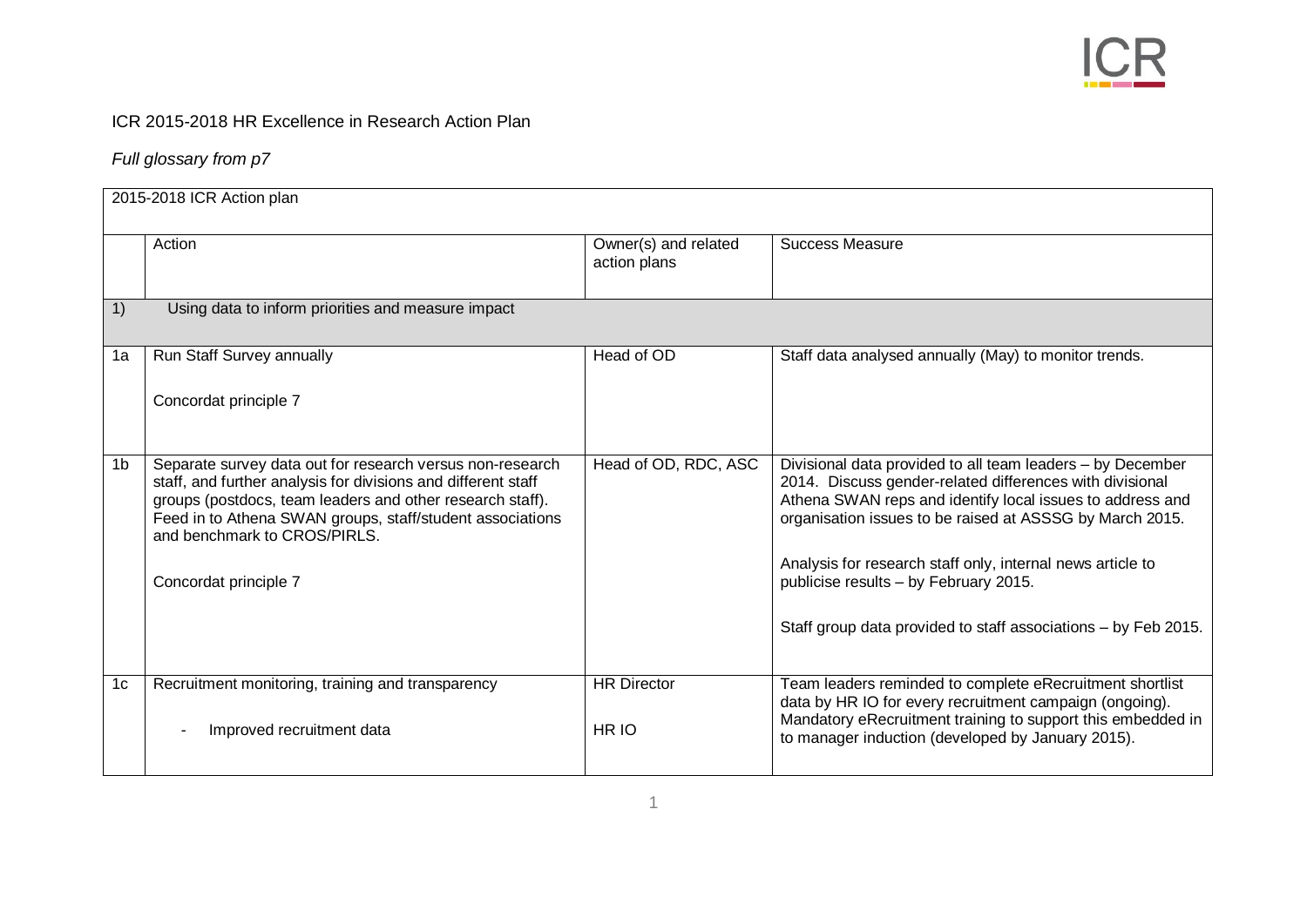

## ICR 2015-2018 HR Excellence in Research Action Plan

## *Full glossary from p7*

|    | 2015-2018 ICR Action plan                                                                                                                                                                                                                                                                                     |                                      |                                                                                                                                                                                                                                                                                                                                                                                                                          |  |
|----|---------------------------------------------------------------------------------------------------------------------------------------------------------------------------------------------------------------------------------------------------------------------------------------------------------------|--------------------------------------|--------------------------------------------------------------------------------------------------------------------------------------------------------------------------------------------------------------------------------------------------------------------------------------------------------------------------------------------------------------------------------------------------------------------------|--|
|    | Action                                                                                                                                                                                                                                                                                                        | Owner(s) and related<br>action plans | <b>Success Measure</b>                                                                                                                                                                                                                                                                                                                                                                                                   |  |
| 1) | Using data to inform priorities and measure impact                                                                                                                                                                                                                                                            |                                      |                                                                                                                                                                                                                                                                                                                                                                                                                          |  |
| 1a | Run Staff Survey annually<br>Concordat principle 7                                                                                                                                                                                                                                                            | Head of OD                           | Staff data analysed annually (May) to monitor trends.                                                                                                                                                                                                                                                                                                                                                                    |  |
| 1b | Separate survey data out for research versus non-research<br>staff, and further analysis for divisions and different staff<br>groups (postdocs, team leaders and other research staff).<br>Feed in to Athena SWAN groups, staff/student associations<br>and benchmark to CROS/PIRLS.<br>Concordat principle 7 | Head of OD, RDC, ASC                 | Divisional data provided to all team leaders - by December<br>2014. Discuss gender-related differences with divisional<br>Athena SWAN reps and identify local issues to address and<br>organisation issues to be raised at ASSSG by March 2015.<br>Analysis for research staff only, internal news article to<br>publicise results - by February 2015.<br>Staff group data provided to staff associations - by Feb 2015. |  |
| 1c | Recruitment monitoring, training and transparency<br>Improved recruitment data                                                                                                                                                                                                                                | <b>HR Director</b><br>HR IO          | Team leaders reminded to complete eRecruitment shortlist<br>data by HR IO for every recruitment campaign (ongoing).<br>Mandatory eRecruitment training to support this embedded in<br>to manager induction (developed by January 2015).                                                                                                                                                                                  |  |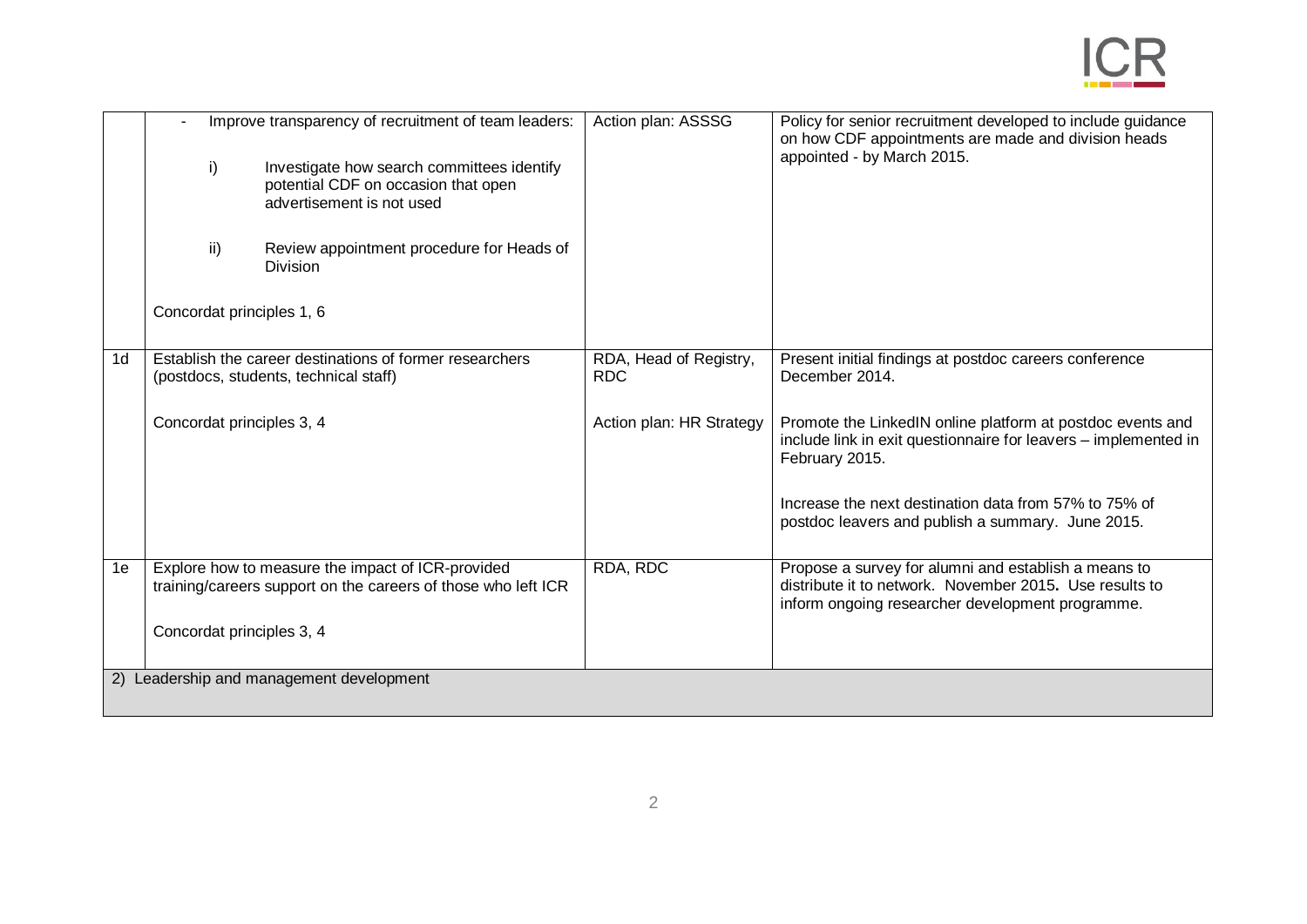|                | $\mathsf{i}$<br>ii)                      | Improve transparency of recruitment of team leaders:<br>Investigate how search committees identify<br>potential CDF on occasion that open<br>advertisement is not used<br>Review appointment procedure for Heads of<br>Division | Action plan: ASSSG                   | Policy for senior recruitment developed to include guidance<br>on how CDF appointments are made and division heads<br>appointed - by March 2015.                    |
|----------------|------------------------------------------|---------------------------------------------------------------------------------------------------------------------------------------------------------------------------------------------------------------------------------|--------------------------------------|---------------------------------------------------------------------------------------------------------------------------------------------------------------------|
|                | Concordat principles 1, 6                |                                                                                                                                                                                                                                 |                                      |                                                                                                                                                                     |
| 1 <sub>d</sub> |                                          | Establish the career destinations of former researchers<br>(postdocs, students, technical staff)                                                                                                                                | RDA, Head of Registry,<br><b>RDC</b> | Present initial findings at postdoc careers conference<br>December 2014.                                                                                            |
|                | Concordat principles 3, 4                |                                                                                                                                                                                                                                 | Action plan: HR Strategy             | Promote the LinkedIN online platform at postdoc events and<br>include link in exit questionnaire for leavers - implemented in<br>February 2015.                     |
|                |                                          |                                                                                                                                                                                                                                 |                                      | Increase the next destination data from 57% to 75% of<br>postdoc leavers and publish a summary. June 2015.                                                          |
| 1e             |                                          | Explore how to measure the impact of ICR-provided<br>training/careers support on the careers of those who left ICR                                                                                                              | RDA, RDC                             | Propose a survey for alumni and establish a means to<br>distribute it to network. November 2015. Use results to<br>inform ongoing researcher development programme. |
|                | Concordat principles 3, 4                |                                                                                                                                                                                                                                 |                                      |                                                                                                                                                                     |
|                | 2) Leadership and management development |                                                                                                                                                                                                                                 |                                      |                                                                                                                                                                     |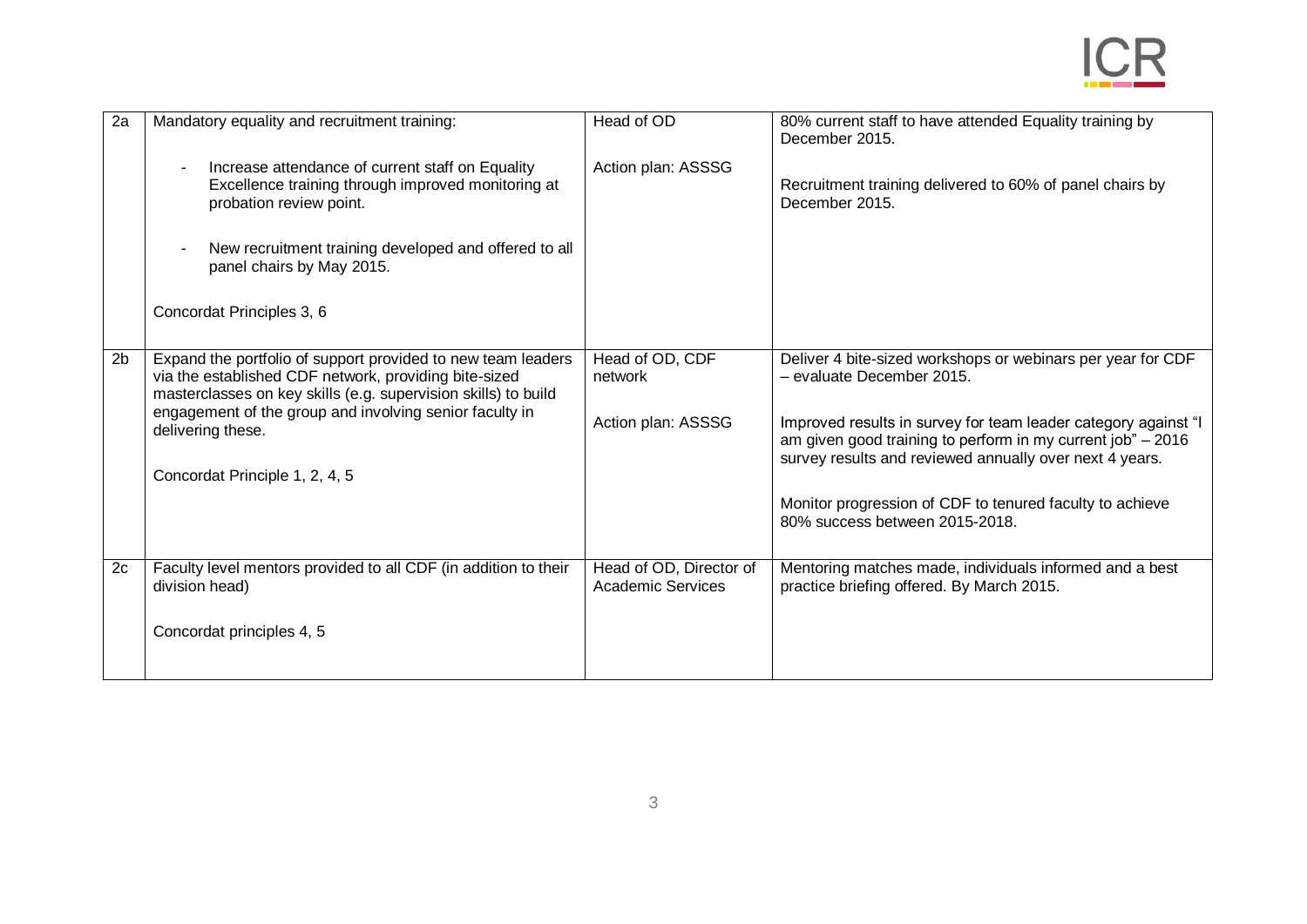| 2a             | Mandatory equality and recruitment training:                                                                                                                                                                                                       | Head of OD                                          | 80% current staff to have attended Equality training by<br>December 2015.                                                                                                                |
|----------------|----------------------------------------------------------------------------------------------------------------------------------------------------------------------------------------------------------------------------------------------------|-----------------------------------------------------|------------------------------------------------------------------------------------------------------------------------------------------------------------------------------------------|
|                | Increase attendance of current staff on Equality<br>$\blacksquare$<br>Excellence training through improved monitoring at<br>probation review point.                                                                                                | Action plan: ASSSG                                  | Recruitment training delivered to 60% of panel chairs by<br>December 2015.                                                                                                               |
|                | New recruitment training developed and offered to all<br>panel chairs by May 2015.                                                                                                                                                                 |                                                     |                                                                                                                                                                                          |
|                | Concordat Principles 3, 6                                                                                                                                                                                                                          |                                                     |                                                                                                                                                                                          |
| 2 <sub>b</sub> | Expand the portfolio of support provided to new team leaders<br>via the established CDF network, providing bite-sized<br>masterclasses on key skills (e.g. supervision skills) to build<br>engagement of the group and involving senior faculty in | Head of OD, CDF<br>network                          | Deliver 4 bite-sized workshops or webinars per year for CDF<br>- evaluate December 2015.                                                                                                 |
|                | delivering these.                                                                                                                                                                                                                                  | Action plan: ASSSG                                  | Improved results in survey for team leader category against "I<br>am given good training to perform in my current job" - 2016<br>survey results and reviewed annually over next 4 years. |
|                | Concordat Principle 1, 2, 4, 5                                                                                                                                                                                                                     |                                                     |                                                                                                                                                                                          |
|                |                                                                                                                                                                                                                                                    |                                                     | Monitor progression of CDF to tenured faculty to achieve<br>80% success between 2015-2018.                                                                                               |
| 2c             | Faculty level mentors provided to all CDF (in addition to their<br>division head)                                                                                                                                                                  | Head of OD, Director of<br><b>Academic Services</b> | Mentoring matches made, individuals informed and a best<br>practice briefing offered. By March 2015.                                                                                     |
|                | Concordat principles 4, 5                                                                                                                                                                                                                          |                                                     |                                                                                                                                                                                          |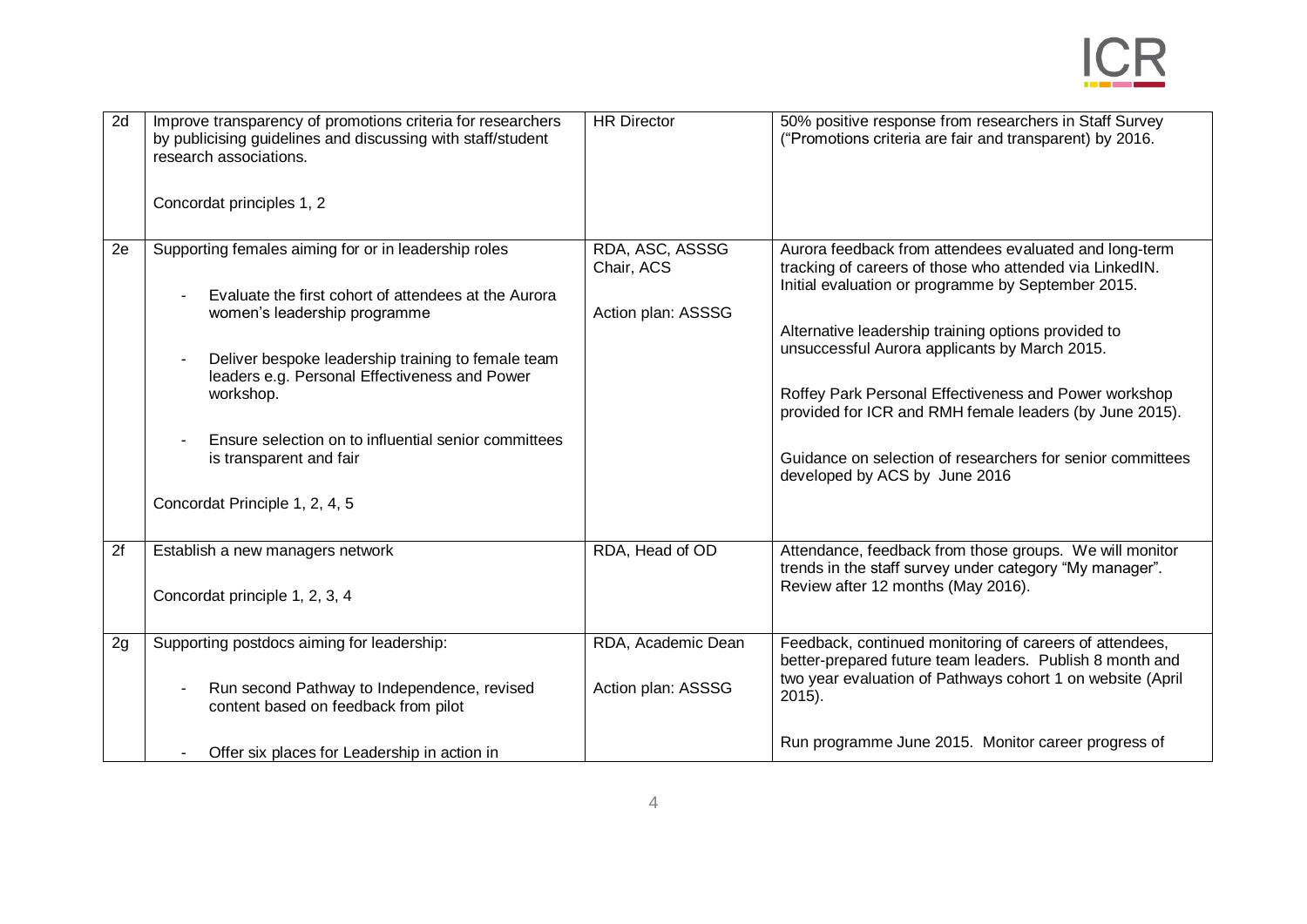

| 2d | Improve transparency of promotions criteria for researchers<br>by publicising guidelines and discussing with staff/student<br>research associations. | <b>HR Director</b>                                  | 50% positive response from researchers in Staff Survey<br>("Promotions criteria are fair and transparent) by 2016.                                                      |
|----|------------------------------------------------------------------------------------------------------------------------------------------------------|-----------------------------------------------------|-------------------------------------------------------------------------------------------------------------------------------------------------------------------------|
|    | Concordat principles 1, 2                                                                                                                            |                                                     |                                                                                                                                                                         |
| 2e | Supporting females aiming for or in leadership roles<br>Evaluate the first cohort of attendees at the Aurora<br>women's leadership programme         | RDA, ASC, ASSSG<br>Chair, ACS<br>Action plan: ASSSG | Aurora feedback from attendees evaluated and long-term<br>tracking of careers of those who attended via LinkedIN.<br>Initial evaluation or programme by September 2015. |
|    | Deliver bespoke leadership training to female team<br>leaders e.g. Personal Effectiveness and Power<br>workshop.                                     |                                                     | Alternative leadership training options provided to<br>unsuccessful Aurora applicants by March 2015.<br>Roffey Park Personal Effectiveness and Power workshop           |
|    | Ensure selection on to influential senior committees                                                                                                 |                                                     | provided for ICR and RMH female leaders (by June 2015).                                                                                                                 |
|    | is transparent and fair                                                                                                                              |                                                     | Guidance on selection of researchers for senior committees<br>developed by ACS by June 2016                                                                             |
|    | Concordat Principle 1, 2, 4, 5                                                                                                                       |                                                     |                                                                                                                                                                         |
| 2f | Establish a new managers network                                                                                                                     | RDA, Head of OD                                     | Attendance, feedback from those groups. We will monitor<br>trends in the staff survey under category "My manager".<br>Review after 12 months (May 2016).                |
|    | Concordat principle 1, 2, 3, 4                                                                                                                       |                                                     |                                                                                                                                                                         |
| 2g | Supporting postdocs aiming for leadership:                                                                                                           | RDA, Academic Dean                                  | Feedback, continued monitoring of careers of attendees,<br>better-prepared future team leaders. Publish 8 month and                                                     |
|    | Run second Pathway to Independence, revised<br>content based on feedback from pilot                                                                  | Action plan: ASSSG                                  | two year evaluation of Pathways cohort 1 on website (April<br>$2015$ ).                                                                                                 |
|    | Offer six places for Leadership in action in                                                                                                         |                                                     | Run programme June 2015. Monitor career progress of                                                                                                                     |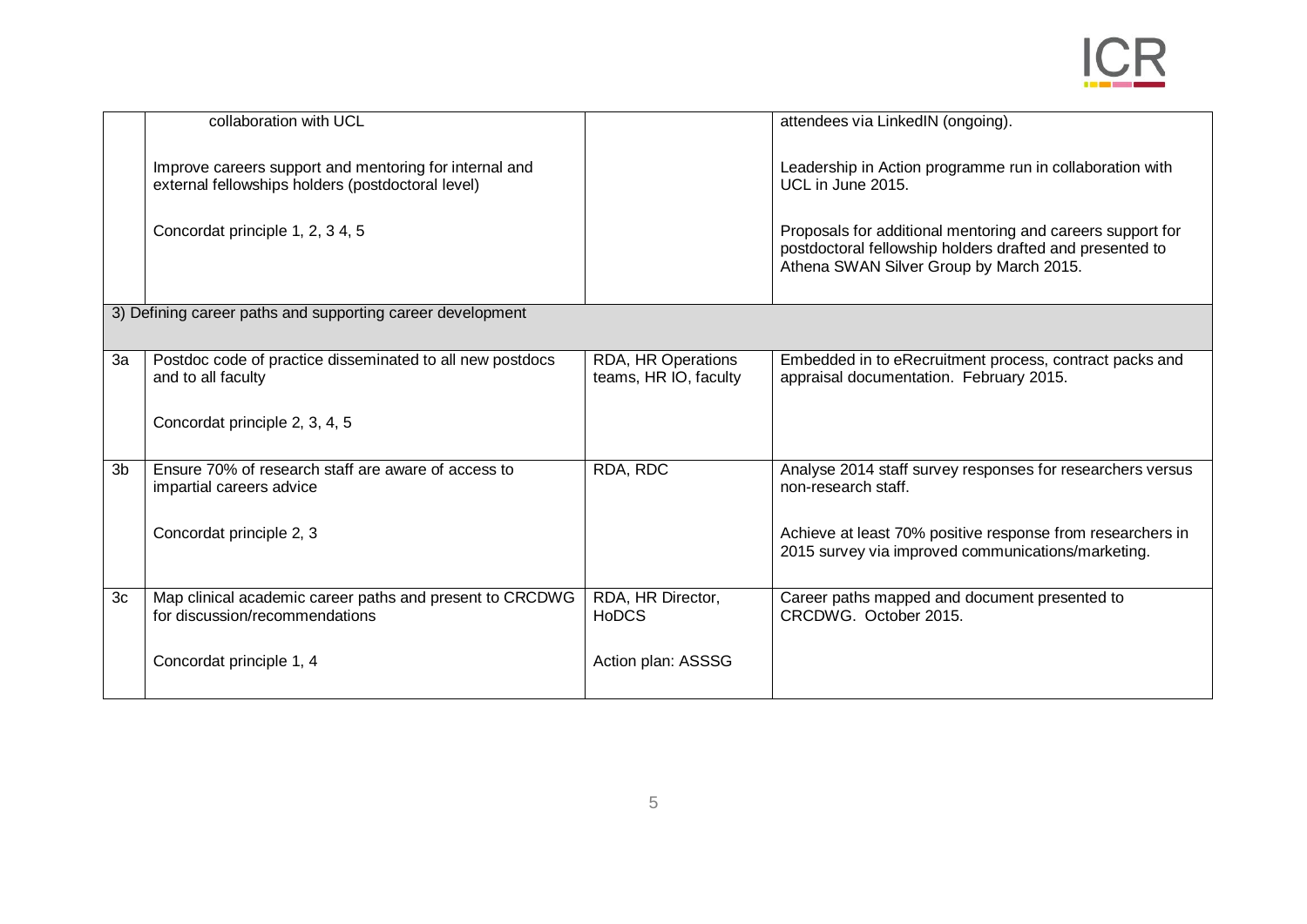|                | collaboration with UCL                                                                                      |                                             | attendees via LinkedIN (ongoing).                                                                                                                                 |  |
|----------------|-------------------------------------------------------------------------------------------------------------|---------------------------------------------|-------------------------------------------------------------------------------------------------------------------------------------------------------------------|--|
|                | Improve careers support and mentoring for internal and<br>external fellowships holders (postdoctoral level) |                                             | Leadership in Action programme run in collaboration with<br>UCL in June 2015.                                                                                     |  |
|                | Concordat principle 1, 2, 3 4, 5                                                                            |                                             | Proposals for additional mentoring and careers support for<br>postdoctoral fellowship holders drafted and presented to<br>Athena SWAN Silver Group by March 2015. |  |
|                | 3) Defining career paths and supporting career development                                                  |                                             |                                                                                                                                                                   |  |
| 3a             | Postdoc code of practice disseminated to all new postdocs<br>and to all faculty                             | RDA, HR Operations<br>teams, HR IO, faculty | Embedded in to eRecruitment process, contract packs and<br>appraisal documentation. February 2015.                                                                |  |
|                | Concordat principle 2, 3, 4, 5                                                                              |                                             |                                                                                                                                                                   |  |
| 3 <sub>b</sub> | Ensure 70% of research staff are aware of access to<br>impartial careers advice                             | RDA, RDC                                    | Analyse 2014 staff survey responses for researchers versus<br>non-research staff.                                                                                 |  |
|                | Concordat principle 2, 3                                                                                    |                                             | Achieve at least 70% positive response from researchers in<br>2015 survey via improved communications/marketing.                                                  |  |
| 3c             | Map clinical academic career paths and present to CRCDWG<br>for discussion/recommendations                  | RDA, HR Director,<br><b>HoDCS</b>           | Career paths mapped and document presented to<br>CRCDWG. October 2015.                                                                                            |  |
|                | Concordat principle 1, 4                                                                                    | Action plan: ASSSG                          |                                                                                                                                                                   |  |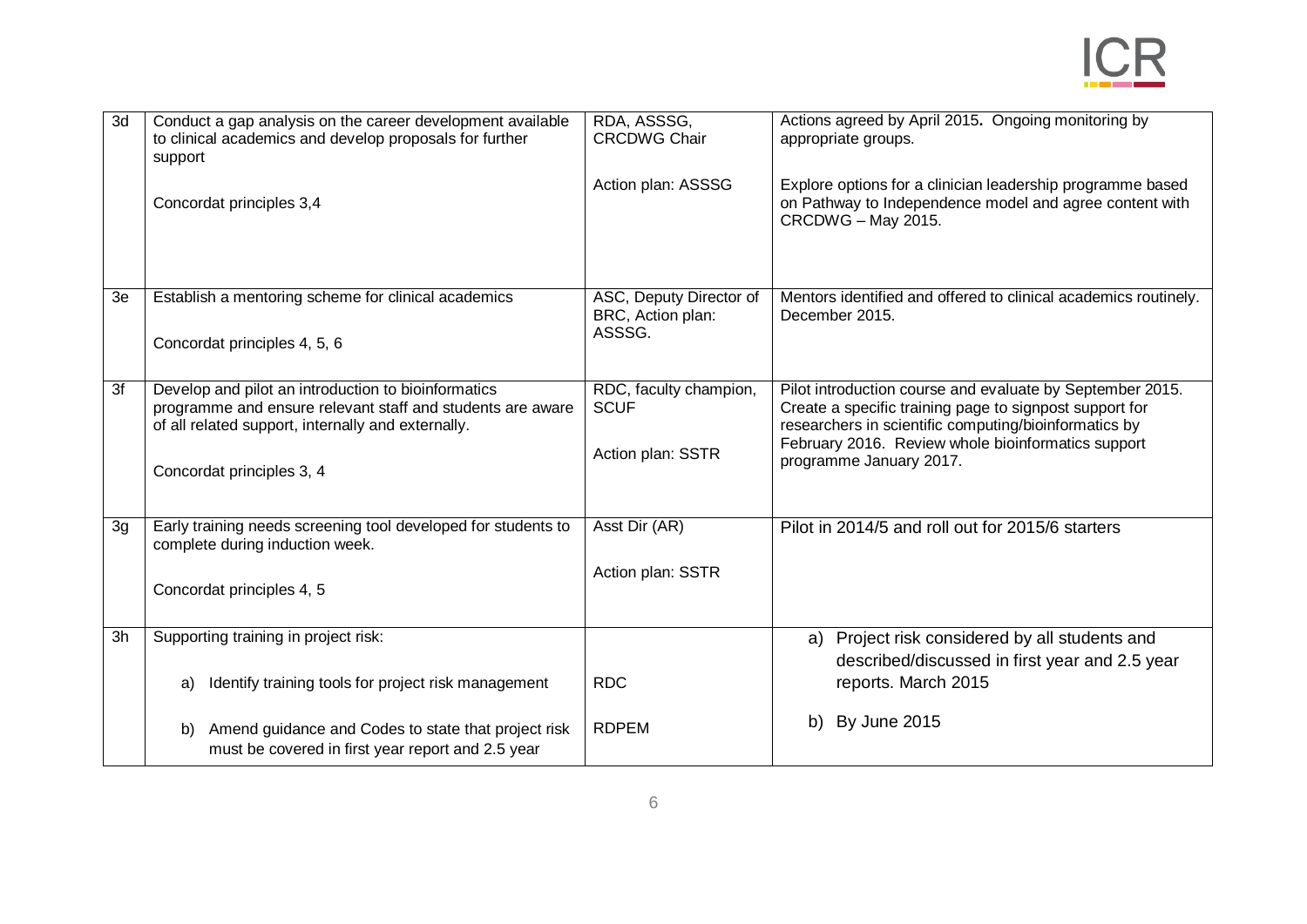

| 3d             | Conduct a gap analysis on the career development available<br>to clinical academics and develop proposals for further<br>support                                                                     | RDA, ASSSG,<br><b>CRCDWG Chair</b>                         | Actions agreed by April 2015. Ongoing monitoring by<br>appropriate groups.                                                                                                                                                                                     |
|----------------|------------------------------------------------------------------------------------------------------------------------------------------------------------------------------------------------------|------------------------------------------------------------|----------------------------------------------------------------------------------------------------------------------------------------------------------------------------------------------------------------------------------------------------------------|
|                | Concordat principles 3,4                                                                                                                                                                             | Action plan: ASSSG                                         | Explore options for a clinician leadership programme based<br>on Pathway to Independence model and agree content with<br>CRCDWG - May 2015.                                                                                                                    |
| 3e             | Establish a mentoring scheme for clinical academics<br>Concordat principles 4, 5, 6                                                                                                                  | ASC, Deputy Director of<br>BRC, Action plan:<br>ASSSG.     | Mentors identified and offered to clinical academics routinely.<br>December 2015.                                                                                                                                                                              |
| 3f             | Develop and pilot an introduction to bioinformatics<br>programme and ensure relevant staff and students are aware<br>of all related support, internally and externally.<br>Concordat principles 3, 4 | RDC, faculty champion,<br><b>SCUF</b><br>Action plan: SSTR | Pilot introduction course and evaluate by September 2015.<br>Create a specific training page to signpost support for<br>researchers in scientific computing/bioinformatics by<br>February 2016. Review whole bioinformatics support<br>programme January 2017. |
| 3 <sub>g</sub> | Early training needs screening tool developed for students to<br>complete during induction week.<br>Concordat principles 4, 5                                                                        | Asst Dir (AR)<br>Action plan: SSTR                         | Pilot in 2014/5 and roll out for 2015/6 starters                                                                                                                                                                                                               |
| 3h             | Supporting training in project risk:<br>Identify training tools for project risk management<br>a)                                                                                                    | <b>RDC</b>                                                 | a) Project risk considered by all students and<br>described/discussed in first year and 2.5 year<br>reports. March 2015                                                                                                                                        |
|                | Amend guidance and Codes to state that project risk<br>b)<br>must be covered in first year report and 2.5 year                                                                                       | <b>RDPEM</b>                                               | b) By June 2015                                                                                                                                                                                                                                                |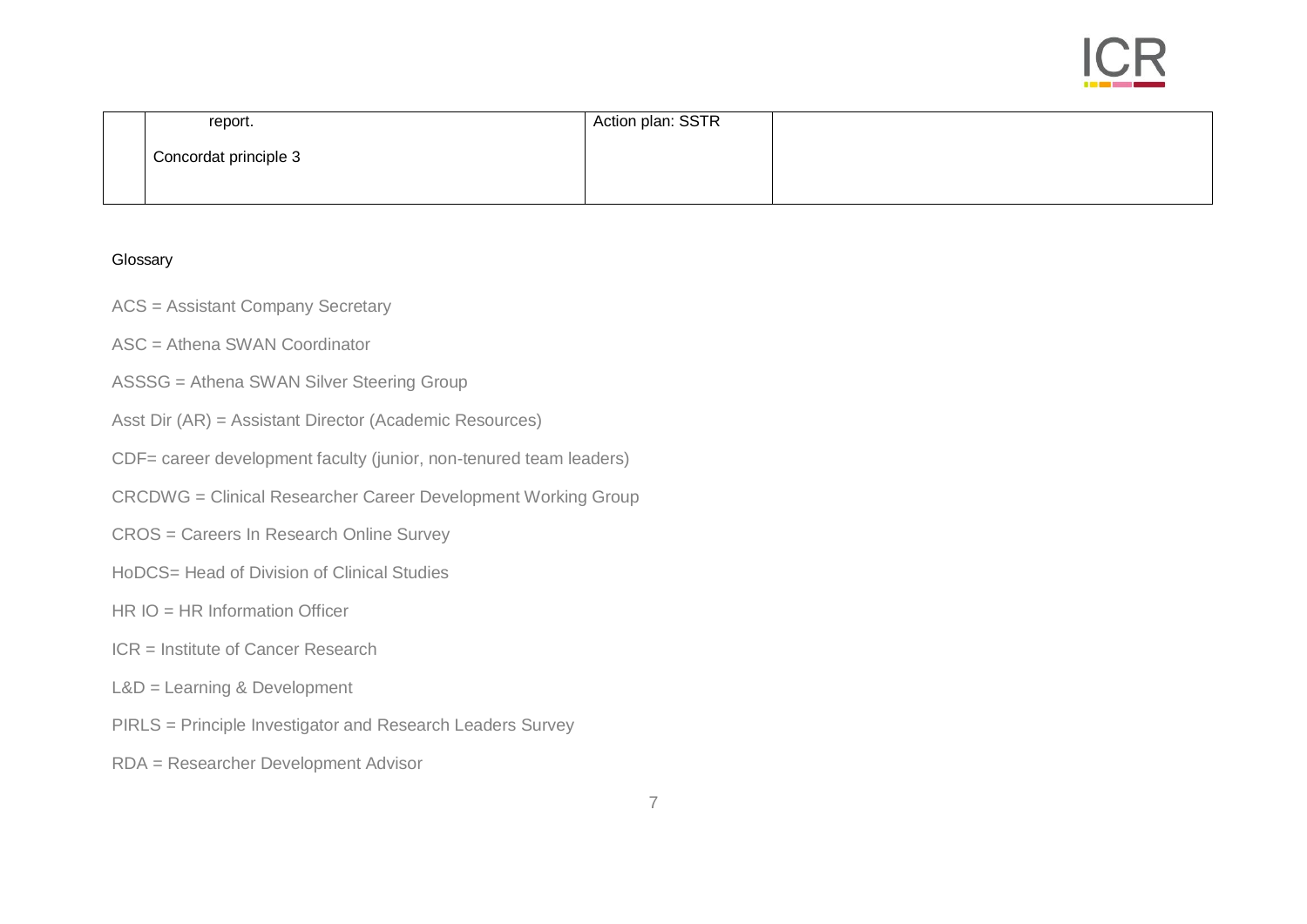

| report.               | Action plan: SSTR |  |
|-----------------------|-------------------|--|
| Concordat principle 3 |                   |  |
|                       |                   |  |

## Glossary

- ACS = Assistant Company Secretary
- ASC = Athena SWAN Coordinator
- ASSSG = Athena SWAN Silver Steering Group
- Asst Dir (AR) = Assistant Director (Academic Resources)
- CDF= career development faculty (junior, non-tenured team leaders)
- CRCDWG = Clinical Researcher Career Development Working Group
- CROS = Careers In Research Online Survey
- HoDCS= Head of Division of Clinical Studies
- HR IO = HR Information Officer
- ICR = Institute of Cancer Research
- L&D = Learning & Development
- PIRLS = Principle Investigator and Research Leaders Survey
- RDA = Researcher Development Advisor